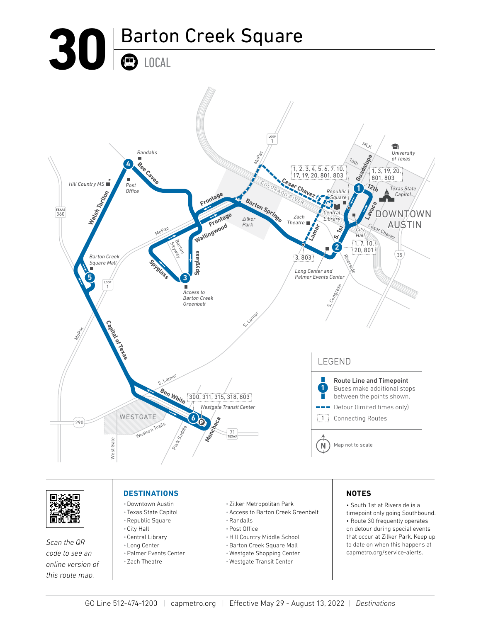



*Scan the QR code to see an online version of this route map.*

## **DESTINATIONS**

- •Downtown Austin
- Texas State Capitol •Republic Square
- City Hall
- Central Library
- Long Center
- •Palmer Events Center
- Zach Theatre
- Zilker Metropolitan Park
- •Access to Barton Creek Greenbelt
- •Randalls
- •Post Office
- •Hill Country Middle School
- •Barton Creek Square Mall
- Westgate Shopping Center
- Westgate Transit Center

## **NOTES**

• South 1st at Riverside is a timepoint only going Southbound. • Route 30 frequently operates on detour during special events that occur at Zilker Park. Keep up to date on when this happens at capmetro.org/service-alerts.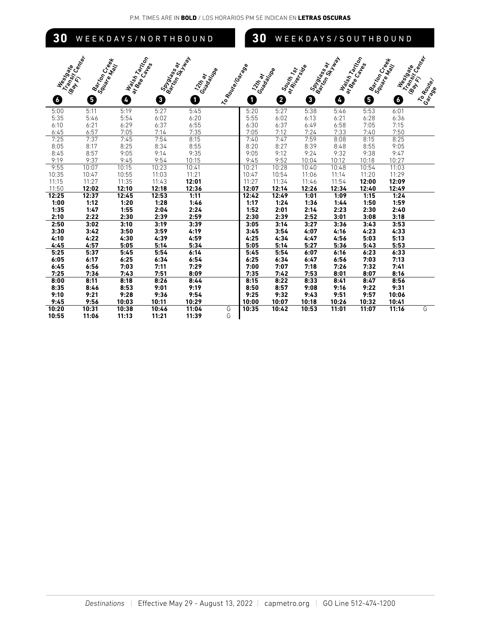| 30             |                                                              |                                      |                                        | WEEKDAYS/NORTHBOUND          |                    | 30            |                            |                                  |                                        |                   | WEEKDAYS/SOUTHBOUND                           |                                                                   |
|----------------|--------------------------------------------------------------|--------------------------------------|----------------------------------------|------------------------------|--------------------|---------------|----------------------------|----------------------------------|----------------------------------------|-------------------|-----------------------------------------------|-------------------------------------------------------------------|
| Neerbacke<br>6 | Transition Rep<br>Barton Creek<br>Square Creek<br>Barry<br>0 | Walsh Tartibon<br>at Bee Capies<br>Ø | Spieles<br>Barronsse<br>Monsie av<br>0 | Guadalupe<br>Tripped By<br>0 | I to Route Control | 12Hay<br>0    | Guadalta<br>South 1st<br>0 | Spieless of<br>at Riverside<br>0 | Walsh Tarribon<br>Barrent St. Bay<br>Ø | ar bee Capes<br>0 | Barton Creek<br>Square Creek<br>Neerback<br>G | Transit Competition<br><b>Bay R.</b><br>To Route<br><b>Garage</b> |
| 5:00           | 5:11                                                         | 5:19                                 | 5:27                                   | 5:45                         |                    | 5:20          | 5:27                       | 5:38                             | 5:46                                   | 5:53              | 6:01                                          |                                                                   |
| 5:35           | 5:46                                                         | 5:54                                 | 6:02                                   | 6:20                         |                    | 5:55          | 6:02                       | 6:13                             | 6:21                                   | 6:28              | 6:36                                          |                                                                   |
| 6:10           | 6:21                                                         | 6:29                                 | 6:37                                   | 6:55                         |                    | 6:30          | 6:37                       | 6:49                             | 6:58                                   | 7:05              | 7:15                                          |                                                                   |
| 6:45           | 6:57                                                         | 7:05                                 | 7:14                                   | 7:35                         |                    | 7:05          | 7:12                       | 7:24                             | 7:33                                   | 7:40              | 7:50                                          |                                                                   |
| 7:25           | 7:37                                                         | 7:45                                 | 7:54                                   | 8:15                         |                    | 7:40          | 7:47                       | 7:59                             | 8:08                                   | 8:15              | 8:25                                          |                                                                   |
| 8:05           | 8:17                                                         | 8:25                                 | 8:34                                   | 8:55                         |                    | 8:20          | 8:27                       | 8:39                             | 8:48                                   | 8:55              | 9:05                                          |                                                                   |
| 8:45           | 8:57                                                         | 9:05                                 | 9:14                                   | 9:35                         |                    | 9:05          | 9:12                       | 9:24                             | 9:32                                   | 9:38              | 9:47                                          |                                                                   |
| 9:19           | 9:37                                                         | 9:45                                 | 9:54                                   | 10:15                        |                    | 9:45          | 9:52                       | 10:04                            | 10:12                                  | 10:18             | 10:27                                         |                                                                   |
| 9:55           | 10:07                                                        | 10:15                                | 10:23                                  | 10:41                        |                    | 10:21         | 10:28                      | 10:40                            | 10:48                                  | 10:54             | 11:03                                         |                                                                   |
| 10:35          | 10:47                                                        | 10:55                                | 11:03                                  | 11:21                        |                    | 10:47         | 10:54                      | 11:06                            | 11:14                                  | 11:20             | 11:29                                         |                                                                   |
| 11:15          | 11:27                                                        | 11:35                                | 11:43                                  | 12:01                        |                    | 11:27         | 11:34                      | 11:46                            | 11:54                                  | 12:00             | 12:09                                         |                                                                   |
| 11:50          | 12:02                                                        | 12:10                                | 12:18                                  | 12:36                        |                    | 12:07         | 12:14                      | 12:26                            | 12:34                                  | 12:40             | 12:49                                         |                                                                   |
| 12:25          | 12:37                                                        | 12:45                                | 12:53                                  | 1:11                         |                    | 12:42         | 12:49                      | 1:01                             | 1:09                                   | 1:15              | 1:24                                          |                                                                   |
| 1:00           | 1:12                                                         | 1:20                                 | 1:28                                   | 1:46                         |                    | 1:17          | 1:24                       | 1:36                             | 1:44                                   | 1:50              | 1:59                                          |                                                                   |
| 1:35           | 1:47                                                         | 1:55                                 | 2:04                                   | 2:24                         |                    | 1:52          | 2:01                       | 2:14                             | 2:23                                   | 2:30              | 2:40                                          |                                                                   |
| 2:10           | 2:22                                                         | 2:30                                 | 2:39                                   | 2:59                         |                    | 2:30          | 2:39                       | 2:52                             | 3:01                                   | 3:08              | 3:18                                          |                                                                   |
| 2:50           | 3:02                                                         | 3:10                                 | 3:19                                   | 3:39                         |                    | 3:05          | 3:14                       | 3:27                             | 3:36                                   | 3:43              | 3:53                                          |                                                                   |
| 3:30           | 3:42                                                         | 3:50                                 | 3:59                                   | 4:19                         |                    | 3:45          | 3:54                       | 4:07                             | 4:16                                   | 4:23              | 4:33                                          |                                                                   |
| 4:10           | 4:22                                                         | 4:30                                 | 4:39                                   | 4:59                         |                    | 4:25          | 4:34                       | 4:47                             | 4:56                                   | 5:03              | 5:13                                          |                                                                   |
| 4:45           | 4:57                                                         | 5:05                                 | 5:14                                   | 5:34                         |                    | 5:05          | 5:14                       | 5:27                             | 5:36                                   | 5:43              | 5:53                                          |                                                                   |
| 5:25           | 5:37                                                         | 5:45                                 | 5:54                                   | 6:14                         |                    | 5:45          | 5:54                       | 6:07                             | 6:16                                   | 6:23              | 6:33                                          |                                                                   |
| 6:05           | 6:17                                                         | 6:25                                 | 6:34                                   | 6:54                         |                    | 6:25          | 6:34                       | 6:47                             | 6:56                                   | 7:03              | 7:13                                          |                                                                   |
| 6:45           | 6:56                                                         | 7:03                                 | 7:11                                   | 7:29                         |                    | 7:00          | 7:07                       | 7:18                             | 7:26                                   | 7:32              | 7:41                                          |                                                                   |
| 7:25           | 7:36                                                         | 7:43                                 | 7:51                                   | 8:09                         |                    | 7:35          | 7:42                       | 7:53                             | 8:01                                   | 8:07              | 8:16                                          |                                                                   |
| 8:00           | 8:11                                                         | 8:18                                 | 8:26                                   | 8:44                         |                    | 8:15          | 8:22                       | 8:33                             | 8:41                                   | 8:47              | 8:56                                          |                                                                   |
| 8:35           | 8:46                                                         | 8:53<br>9:28                         | 9:01                                   | 9:19                         |                    | 8:50          | 8:57<br>9:32               | 9:08<br>9:43                     | 9:16                                   | 9:22<br>9:57      | 9:31                                          |                                                                   |
| 9:10<br>9:45   | 9:21<br>9:56                                                 | 10:03                                | 9:36<br>10:11                          | 9:54<br>10:29                |                    | 9:25<br>10:00 | 10:07                      | 10:18                            | 9:51<br>10:26                          | 10:32             | 10:06<br>10:41                                |                                                                   |
| 10:20          | 10:31                                                        | 10:38                                | 10:46                                  | 11:04                        | G                  | 10:35         | 10:42                      | 10:53                            | 11:01                                  | 11:07             | 11:16                                         | G                                                                 |
|                |                                                              |                                      |                                        |                              |                    |               |                            |                                  |                                        |                   |                                               |                                                                   |

**10:55 11:06 11:13 11:21 11:39** G